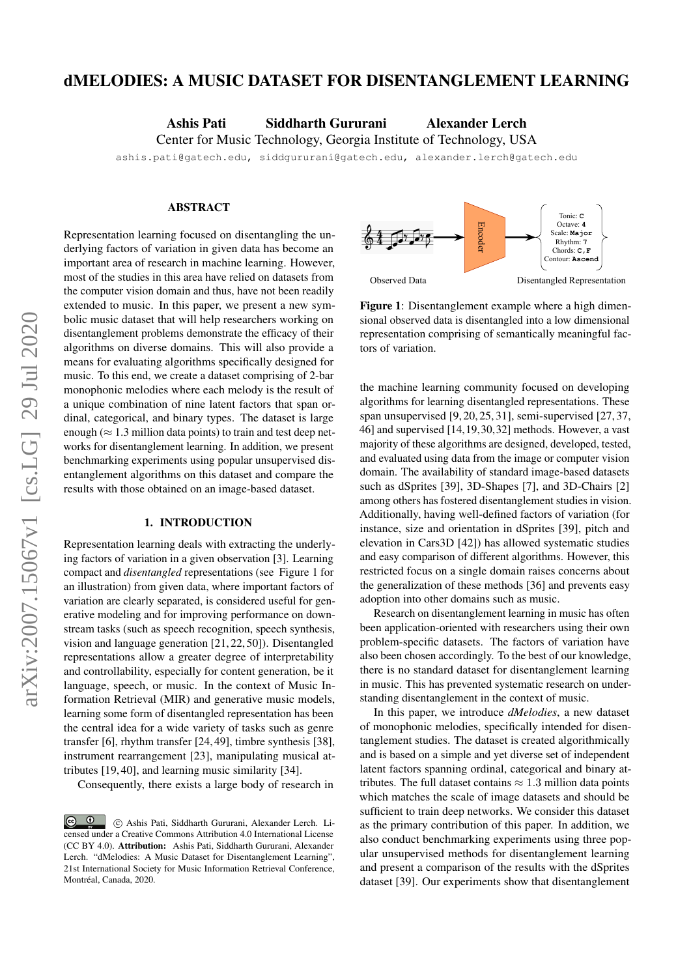# dMELODIES: A MUSIC DATASET FOR DISENTANGLEMENT LEARNING

Ashis Pati Siddharth Gururani Alexander Lerch

Center for Music Technology, Georgia Institute of Technology, USA

ashis.pati@gatech.edu, siddgururani@gatech.edu, alexander.lerch@gatech.edu

#### ABSTRACT

Representation learning focused on disentangling the underlying factors of variation in given data has become an important area of research in machine learning. However, most of the studies in this area have relied on datasets from the computer vision domain and thus, have not been readily extended to music. In this paper, we present a new symbolic music dataset that will help researchers working on disentanglement problems demonstrate the efficacy of their algorithms on diverse domains. This will also provide a means for evaluating algorithms specifically designed for music. To this end, we create a dataset comprising of 2-bar monophonic melodies where each melody is the result of a unique combination of nine latent factors that span ordinal, categorical, and binary types. The dataset is large enough ( $\approx 1.3$  million data points) to train and test deep networks for disentanglement learning. In addition, we present benchmarking experiments using popular unsupervised disentanglement algorithms on this dataset and compare the results with those obtained on an image-based dataset.

#### 1. INTRODUCTION

Representation learning deals with extracting the underlying factors of variation in a given observation [3]. Learning compact and *disentangled* representations (see Figure 1 for an illustration) from given data, where important factors of variation are clearly separated, is considered useful for generative modeling and for improving performance on downstream tasks (such as speech recognition, speech synthesis, vision and language generation [21, 22, 50]). Disentangled representations allow a greater degree of interpretability and controllability, especially for content generation, be it language, speech, or music. In the context of Music Information Retrieval (MIR) and generative music models, learning some form of disentangled representation has been the central idea for a wide variety of tasks such as genre transfer [6], rhythm transfer [24, 49], timbre synthesis [38], instrument rearrangement [23], manipulating musical attributes [19, 40], and learning music similarity [34].

Consequently, there exists a large body of research in



Figure 1: Disentanglement example where a high dimensional observed data is disentangled into a low dimensional representation comprising of semantically meaningful factors of variation.

the machine learning community focused on developing algorithms for learning disentangled representations. These span unsupervised [9, 20, 25, 31], semi-supervised [27, 37, 46] and supervised [14,19,30,32] methods. However, a vast majority of these algorithms are designed, developed, tested, and evaluated using data from the image or computer vision domain. The availability of standard image-based datasets such as dSprites [39], 3D-Shapes [7], and 3D-Chairs [2] among others has fostered disentanglement studies in vision. Additionally, having well-defined factors of variation (for instance, size and orientation in dSprites [39], pitch and elevation in Cars3D [42]) has allowed systematic studies and easy comparison of different algorithms. However, this restricted focus on a single domain raises concerns about the generalization of these methods [36] and prevents easy adoption into other domains such as music.

Research on disentanglement learning in music has often been application-oriented with researchers using their own problem-specific datasets. The factors of variation have also been chosen accordingly. To the best of our knowledge, there is no standard dataset for disentanglement learning in music. This has prevented systematic research on understanding disentanglement in the context of music.

In this paper, we introduce *dMelodies*, a new dataset of monophonic melodies, specifically intended for disentanglement studies. The dataset is created algorithmically and is based on a simple and yet diverse set of independent latent factors spanning ordinal, categorical and binary attributes. The full dataset contains  $\approx 1.3$  million data points which matches the scale of image datasets and should be sufficient to train deep networks. We consider this dataset as the primary contribution of this paper. In addition, we also conduct benchmarking experiments using three popular unsupervised methods for disentanglement learning and present a comparison of the results with the dSprites dataset [39]. Our experiments show that disentanglement

 $\circ$   $\circ$  c Ashis Pati, Siddharth Gururani, Alexander Lerch. Licensed under a Creative Commons Attribution 4.0 International License (CC BY 4.0). Attribution: Ashis Pati, Siddharth Gururani, Alexander Lerch. "dMelodies: A Music Dataset for Disentanglement Learning", 21st International Society for Music Information Retrieval Conference, Montréal, Canada, 2020.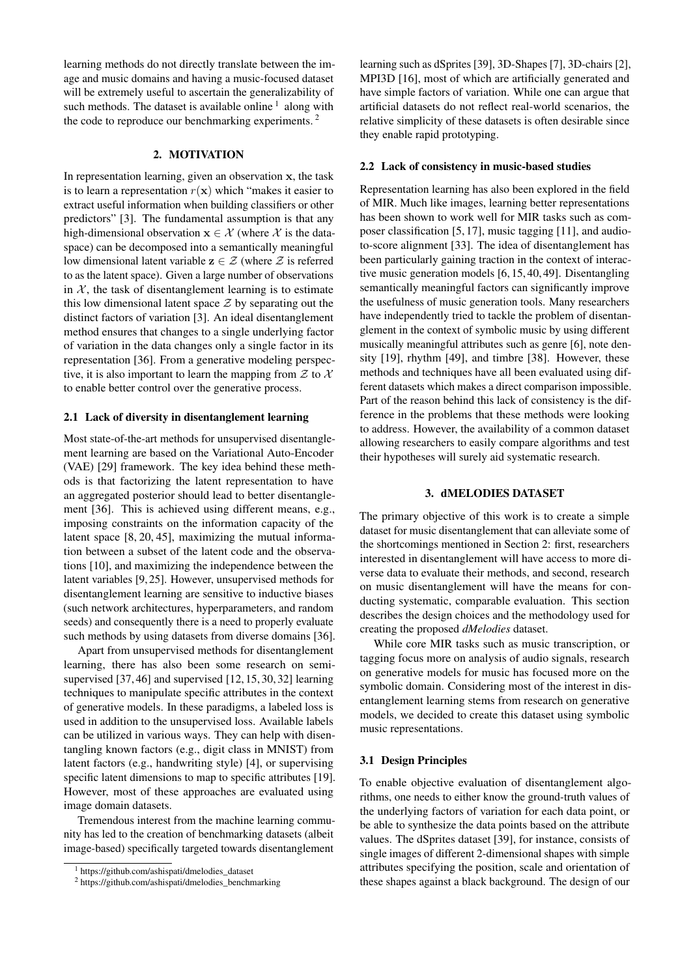learning methods do not directly translate between the image and music domains and having a music-focused dataset will be extremely useful to ascertain the generalizability of such methods. The dataset is available online  $<sup>1</sup>$  along with</sup> the code to reproduce our benchmarking experiments.<sup>2</sup>

# 2. MOTIVATION

In representation learning, given an observation x, the task is to learn a representation  $r(x)$  which "makes it easier to extract useful information when building classifiers or other predictors" [3]. The fundamental assumption is that any high-dimensional observation  $x \in \mathcal{X}$  (where  $\mathcal{X}$  is the dataspace) can be decomposed into a semantically meaningful low dimensional latent variable  $z \in \mathcal{Z}$  (where  $\mathcal Z$  is referred to as the latent space). Given a large number of observations in  $X$ , the task of disentanglement learning is to estimate this low dimensional latent space  $\mathcal Z$  by separating out the distinct factors of variation [3]. An ideal disentanglement method ensures that changes to a single underlying factor of variation in the data changes only a single factor in its representation [36]. From a generative modeling perspective, it is also important to learn the mapping from  $\mathcal Z$  to  $\mathcal X$ to enable better control over the generative process.

#### 2.1 Lack of diversity in disentanglement learning

Most state-of-the-art methods for unsupervised disentanglement learning are based on the Variational Auto-Encoder (VAE) [29] framework. The key idea behind these methods is that factorizing the latent representation to have an aggregated posterior should lead to better disentanglement [36]. This is achieved using different means, e.g., imposing constraints on the information capacity of the latent space [8, 20, 45], maximizing the mutual information between a subset of the latent code and the observations [10], and maximizing the independence between the latent variables [9, 25]. However, unsupervised methods for disentanglement learning are sensitive to inductive biases (such network architectures, hyperparameters, and random seeds) and consequently there is a need to properly evaluate such methods by using datasets from diverse domains [36].

Apart from unsupervised methods for disentanglement learning, there has also been some research on semisupervised [37, 46] and supervised [12, 15, 30, 32] learning techniques to manipulate specific attributes in the context of generative models. In these paradigms, a labeled loss is used in addition to the unsupervised loss. Available labels can be utilized in various ways. They can help with disentangling known factors (e.g., digit class in MNIST) from latent factors (e.g., handwriting style) [4], or supervising specific latent dimensions to map to specific attributes [19]. However, most of these approaches are evaluated using image domain datasets.

Tremendous interest from the machine learning community has led to the creation of benchmarking datasets (albeit image-based) specifically targeted towards disentanglement

learning such as dSprites [39], 3D-Shapes [7], 3D-chairs [2], MPI3D [16], most of which are artificially generated and have simple factors of variation. While one can argue that artificial datasets do not reflect real-world scenarios, the relative simplicity of these datasets is often desirable since they enable rapid prototyping.

#### 2.2 Lack of consistency in music-based studies

Representation learning has also been explored in the field of MIR. Much like images, learning better representations has been shown to work well for MIR tasks such as composer classification [5, 17], music tagging [11], and audioto-score alignment [33]. The idea of disentanglement has been particularly gaining traction in the context of interactive music generation models [6, 15, 40, 49]. Disentangling semantically meaningful factors can significantly improve the usefulness of music generation tools. Many researchers have independently tried to tackle the problem of disentanglement in the context of symbolic music by using different musically meaningful attributes such as genre [6], note density [19], rhythm [49], and timbre [38]. However, these methods and techniques have all been evaluated using different datasets which makes a direct comparison impossible. Part of the reason behind this lack of consistency is the difference in the problems that these methods were looking to address. However, the availability of a common dataset allowing researchers to easily compare algorithms and test their hypotheses will surely aid systematic research.

# 3. dMELODIES DATASET

The primary objective of this work is to create a simple dataset for music disentanglement that can alleviate some of the shortcomings mentioned in Section 2: first, researchers interested in disentanglement will have access to more diverse data to evaluate their methods, and second, research on music disentanglement will have the means for conducting systematic, comparable evaluation. This section describes the design choices and the methodology used for creating the proposed *dMelodies* dataset.

While core MIR tasks such as music transcription, or tagging focus more on analysis of audio signals, research on generative models for music has focused more on the symbolic domain. Considering most of the interest in disentanglement learning stems from research on generative models, we decided to create this dataset using symbolic music representations.

### 3.1 Design Principles

To enable objective evaluation of disentanglement algorithms, one needs to either know the ground-truth values of the underlying factors of variation for each data point, or be able to synthesize the data points based on the attribute values. The dSprites dataset [39], for instance, consists of single images of different 2-dimensional shapes with simple attributes specifying the position, scale and orientation of these shapes against a black background. The design of our

<sup>1</sup> https://github.com/ashispati/dmelodies\_dataset

<sup>2</sup> https://github.com/ashispati/dmelodies\_benchmarking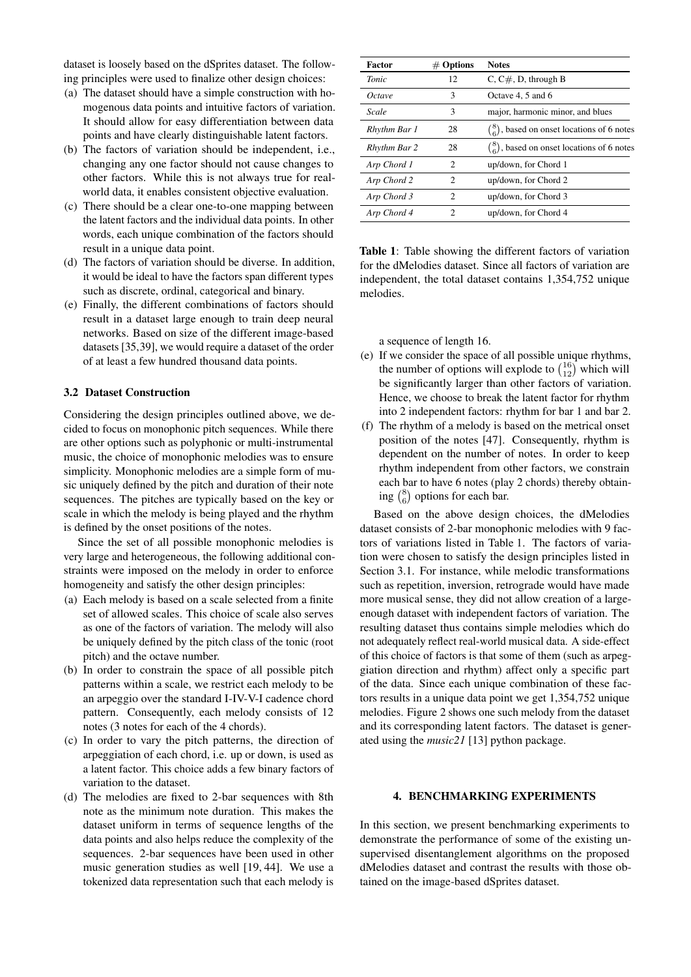dataset is loosely based on the dSprites dataset. The following principles were used to finalize other design choices:

- (a) The dataset should have a simple construction with homogenous data points and intuitive factors of variation. It should allow for easy differentiation between data points and have clearly distinguishable latent factors.
- (b) The factors of variation should be independent, i.e., changing any one factor should not cause changes to other factors. While this is not always true for realworld data, it enables consistent objective evaluation.
- (c) There should be a clear one-to-one mapping between the latent factors and the individual data points. In other words, each unique combination of the factors should result in a unique data point.
- (d) The factors of variation should be diverse. In addition, it would be ideal to have the factors span different types such as discrete, ordinal, categorical and binary.
- (e) Finally, the different combinations of factors should result in a dataset large enough to train deep neural networks. Based on size of the different image-based datasets [35,39], we would require a dataset of the order of at least a few hundred thousand data points.

# 3.2 Dataset Construction

Considering the design principles outlined above, we decided to focus on monophonic pitch sequences. While there are other options such as polyphonic or multi-instrumental music, the choice of monophonic melodies was to ensure simplicity. Monophonic melodies are a simple form of music uniquely defined by the pitch and duration of their note sequences. The pitches are typically based on the key or scale in which the melody is being played and the rhythm is defined by the onset positions of the notes.

Since the set of all possible monophonic melodies is very large and heterogeneous, the following additional constraints were imposed on the melody in order to enforce homogeneity and satisfy the other design principles:

- (a) Each melody is based on a scale selected from a finite set of allowed scales. This choice of scale also serves as one of the factors of variation. The melody will also be uniquely defined by the pitch class of the tonic (root pitch) and the octave number.
- (b) In order to constrain the space of all possible pitch patterns within a scale, we restrict each melody to be an arpeggio over the standard I-IV-V-I cadence chord pattern. Consequently, each melody consists of 12 notes (3 notes for each of the 4 chords).
- (c) In order to vary the pitch patterns, the direction of arpeggiation of each chord, i.e. up or down, is used as a latent factor. This choice adds a few binary factors of variation to the dataset.
- (d) The melodies are fixed to 2-bar sequences with 8th note as the minimum note duration. This makes the dataset uniform in terms of sequence lengths of the data points and also helps reduce the complexity of the sequences. 2-bar sequences have been used in other music generation studies as well [19, 44]. We use a tokenized data representation such that each melody is

| <b>Factor</b> | $#$ Options                 | <b>Notes</b>                                         |
|---------------|-----------------------------|------------------------------------------------------|
| Tonic         | 12                          | $C, C\#$ , D, through B                              |
| Octave        | 3                           | Octave 4, 5 and 6                                    |
| Scale         | 3                           | major, harmonic minor, and blues                     |
| Rhythm Bar 1  | 28                          | $\binom{8}{6}$ , based on onset locations of 6 notes |
| Rhythm Bar 2  | 28                          | $\binom{8}{6}$ , based on onset locations of 6 notes |
| Arp Chord 1   | 2                           | up/down, for Chord 1                                 |
| Arp Chord 2   | $\mathcal{D}_{\mathcal{L}}$ | up/down, for Chord 2                                 |
| Arp Chord 3   | $\mathcal{D}_{\mathcal{L}}$ | up/down, for Chord 3                                 |
| Arp Chord 4   | $\mathfrak{D}$              | up/down, for Chord 4                                 |

Table 1: Table showing the different factors of variation for the dMelodies dataset. Since all factors of variation are independent, the total dataset contains 1,354,752 unique melodies.

a sequence of length 16.

- (e) If we consider the space of all possible unique rhythms, the number of options will explode to  $\binom{16}{12}$  which will be significantly larger than other factors of variation. Hence, we choose to break the latent factor for rhythm into 2 independent factors: rhythm for bar 1 and bar 2.
- (f) The rhythm of a melody is based on the metrical onset position of the notes [47]. Consequently, rhythm is dependent on the number of notes. In order to keep rhythm independent from other factors, we constrain each bar to have 6 notes (play 2 chords) thereby obtaining  $\binom{8}{6}$  options for each bar.

Based on the above design choices, the dMelodies dataset consists of 2-bar monophonic melodies with 9 factors of variations listed in Table 1. The factors of variation were chosen to satisfy the design principles listed in Section 3.1. For instance, while melodic transformations such as repetition, inversion, retrograde would have made more musical sense, they did not allow creation of a largeenough dataset with independent factors of variation. The resulting dataset thus contains simple melodies which do not adequately reflect real-world musical data. A side-effect of this choice of factors is that some of them (such as arpeggiation direction and rhythm) affect only a specific part of the data. Since each unique combination of these factors results in a unique data point we get 1,354,752 unique melodies. Figure 2 shows one such melody from the dataset and its corresponding latent factors. The dataset is generated using the *music21* [13] python package.

# 4. BENCHMARKING EXPERIMENTS

In this section, we present benchmarking experiments to demonstrate the performance of some of the existing unsupervised disentanglement algorithms on the proposed dMelodies dataset and contrast the results with those obtained on the image-based dSprites dataset.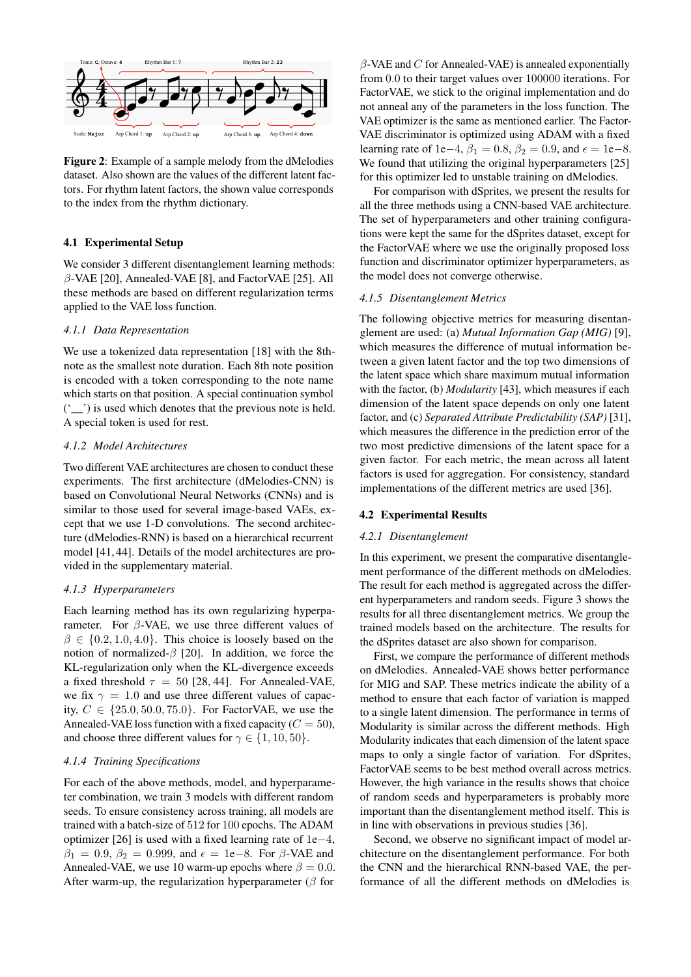

Figure 2: Example of a sample melody from the dMelodies dataset. Also shown are the values of the different latent factors. For rhythm latent factors, the shown value corresponds to the index from the rhythm dictionary.

# 4.1 Experimental Setup

We consider 3 different disentanglement learning methods:  $\beta$ -VAE [20], Annealed-VAE [8], and FactorVAE [25]. All these methods are based on different regularization terms applied to the VAE loss function.

#### *4.1.1 Data Representation*

We use a tokenized data representation [18] with the 8thnote as the smallest note duration. Each 8th note position is encoded with a token corresponding to the note name which starts on that position. A special continuation symbol ('\_\_') is used which denotes that the previous note is held. A special token is used for rest.

# *4.1.2 Model Architectures*

Two different VAE architectures are chosen to conduct these experiments. The first architecture (dMelodies-CNN) is based on Convolutional Neural Networks (CNNs) and is similar to those used for several image-based VAEs, except that we use 1-D convolutions. The second architecture (dMelodies-RNN) is based on a hierarchical recurrent model [41, 44]. Details of the model architectures are provided in the supplementary material.

# *4.1.3 Hyperparameters*

Each learning method has its own regularizing hyperparameter. For  $\beta$ -VAE, we use three different values of  $\beta \in \{0.2, 1.0, 4.0\}$ . This choice is loosely based on the notion of normalized- $\beta$  [20]. In addition, we force the KL-regularization only when the KL-divergence exceeds a fixed threshold  $\tau = 50$  [28, 44]. For Annealed-VAE, we fix  $\gamma = 1.0$  and use three different values of capacity,  $C \in \{25.0, 50.0, 75.0\}$ . For FactorVAE, we use the Annealed-VAE loss function with a fixed capacity ( $C = 50$ ), and choose three different values for  $\gamma \in \{1, 10, 50\}$ .

# *4.1.4 Training Specifications*

For each of the above methods, model, and hyperparameter combination, we train 3 models with different random seeds. To ensure consistency across training, all models are trained with a batch-size of 512 for 100 epochs. The ADAM optimizer [26] is used with a fixed learning rate of 1e−4,  $\beta_1 = 0.9, \beta_2 = 0.999$ , and  $\epsilon = 1e-8$ . For  $\beta$ -VAE and Annealed-VAE, we use 10 warm-up epochs where  $\beta = 0.0$ . After warm-up, the regularization hyperparameter ( $\beta$  for

 $\beta$ -VAE and C for Annealed-VAE) is annealed exponentially from 0.0 to their target values over 100000 iterations. For FactorVAE, we stick to the original implementation and do not anneal any of the parameters in the loss function. The VAE optimizer is the same as mentioned earlier. The Factor-VAE discriminator is optimized using ADAM with a fixed learning rate of 1e−4,  $\beta_1 = 0.8$ ,  $\beta_2 = 0.9$ , and  $\epsilon = 1e-8$ . We found that utilizing the original hyperparameters [25] for this optimizer led to unstable training on dMelodies.

For comparison with dSprites, we present the results for all the three methods using a CNN-based VAE architecture. The set of hyperparameters and other training configurations were kept the same for the dSprites dataset, except for the FactorVAE where we use the originally proposed loss function and discriminator optimizer hyperparameters, as the model does not converge otherwise.

#### *4.1.5 Disentanglement Metrics*

The following objective metrics for measuring disentanglement are used: (a) *Mutual Information Gap (MIG)* [9], which measures the difference of mutual information between a given latent factor and the top two dimensions of the latent space which share maximum mutual information with the factor, (b) *Modularity* [43], which measures if each dimension of the latent space depends on only one latent factor, and (c) *Separated Attribute Predictability (SAP)* [31], which measures the difference in the prediction error of the two most predictive dimensions of the latent space for a given factor. For each metric, the mean across all latent factors is used for aggregation. For consistency, standard implementations of the different metrics are used [36].

# 4.2 Experimental Results

#### *4.2.1 Disentanglement*

In this experiment, we present the comparative disentanglement performance of the different methods on dMelodies. The result for each method is aggregated across the different hyperparameters and random seeds. Figure 3 shows the results for all three disentanglement metrics. We group the trained models based on the architecture. The results for the dSprites dataset are also shown for comparison.

First, we compare the performance of different methods on dMelodies. Annealed-VAE shows better performance for MIG and SAP. These metrics indicate the ability of a method to ensure that each factor of variation is mapped to a single latent dimension. The performance in terms of Modularity is similar across the different methods. High Modularity indicates that each dimension of the latent space maps to only a single factor of variation. For dSprites, FactorVAE seems to be best method overall across metrics. However, the high variance in the results shows that choice of random seeds and hyperparameters is probably more important than the disentanglement method itself. This is in line with observations in previous studies [36].

Second, we observe no significant impact of model architecture on the disentanglement performance. For both the CNN and the hierarchical RNN-based VAE, the performance of all the different methods on dMelodies is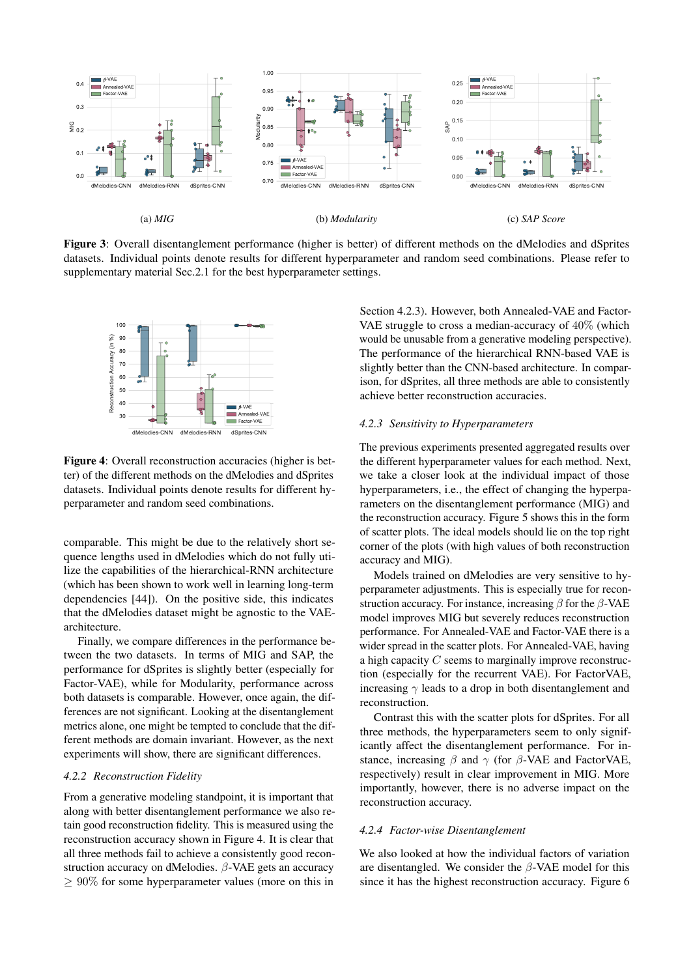

Figure 3: Overall disentanglement performance (higher is better) of different methods on the dMelodies and dSprites datasets. Individual points denote results for different hyperparameter and random seed combinations. Please refer to supplementary material Sec.2.1 for the best hyperparameter settings.



Figure 4: Overall reconstruction accuracies (higher is better) of the different methods on the dMelodies and dSprites datasets. Individual points denote results for different hyperparameter and random seed combinations.

comparable. This might be due to the relatively short sequence lengths used in dMelodies which do not fully utilize the capabilities of the hierarchical-RNN architecture (which has been shown to work well in learning long-term dependencies [44]). On the positive side, this indicates that the dMelodies dataset might be agnostic to the VAEarchitecture.

Finally, we compare differences in the performance between the two datasets. In terms of MIG and SAP, the performance for dSprites is slightly better (especially for Factor-VAE), while for Modularity, performance across both datasets is comparable. However, once again, the differences are not significant. Looking at the disentanglement metrics alone, one might be tempted to conclude that the different methods are domain invariant. However, as the next experiments will show, there are significant differences.

## *4.2.2 Reconstruction Fidelity*

From a generative modeling standpoint, it is important that along with better disentanglement performance we also retain good reconstruction fidelity. This is measured using the reconstruction accuracy shown in Figure 4. It is clear that all three methods fail to achieve a consistently good reconstruction accuracy on dMelodies.  $\beta$ -VAE gets an accuracy  $\geq 90\%$  for some hyperparameter values (more on this in

Section 4.2.3). However, both Annealed-VAE and Factor-VAE struggle to cross a median-accuracy of 40% (which would be unusable from a generative modeling perspective). The performance of the hierarchical RNN-based VAE is slightly better than the CNN-based architecture. In comparison, for dSprites, all three methods are able to consistently achieve better reconstruction accuracies.

# *4.2.3 Sensitivity to Hyperparameters*

The previous experiments presented aggregated results over the different hyperparameter values for each method. Next, we take a closer look at the individual impact of those hyperparameters, i.e., the effect of changing the hyperparameters on the disentanglement performance (MIG) and the reconstruction accuracy. Figure 5 shows this in the form of scatter plots. The ideal models should lie on the top right corner of the plots (with high values of both reconstruction accuracy and MIG).

Models trained on dMelodies are very sensitive to hyperparameter adjustments. This is especially true for reconstruction accuracy. For instance, increasing  $\beta$  for the  $\beta$ -VAE model improves MIG but severely reduces reconstruction performance. For Annealed-VAE and Factor-VAE there is a wider spread in the scatter plots. For Annealed-VAE, having a high capacity C seems to marginally improve reconstruction (especially for the recurrent VAE). For FactorVAE, increasing  $\gamma$  leads to a drop in both disentanglement and reconstruction.

Contrast this with the scatter plots for dSprites. For all three methods, the hyperparameters seem to only significantly affect the disentanglement performance. For instance, increasing  $\beta$  and  $\gamma$  (for  $\beta$ -VAE and FactorVAE, respectively) result in clear improvement in MIG. More importantly, however, there is no adverse impact on the reconstruction accuracy.

# *4.2.4 Factor-wise Disentanglement*

We also looked at how the individual factors of variation are disentangled. We consider the  $\beta$ -VAE model for this since it has the highest reconstruction accuracy. Figure 6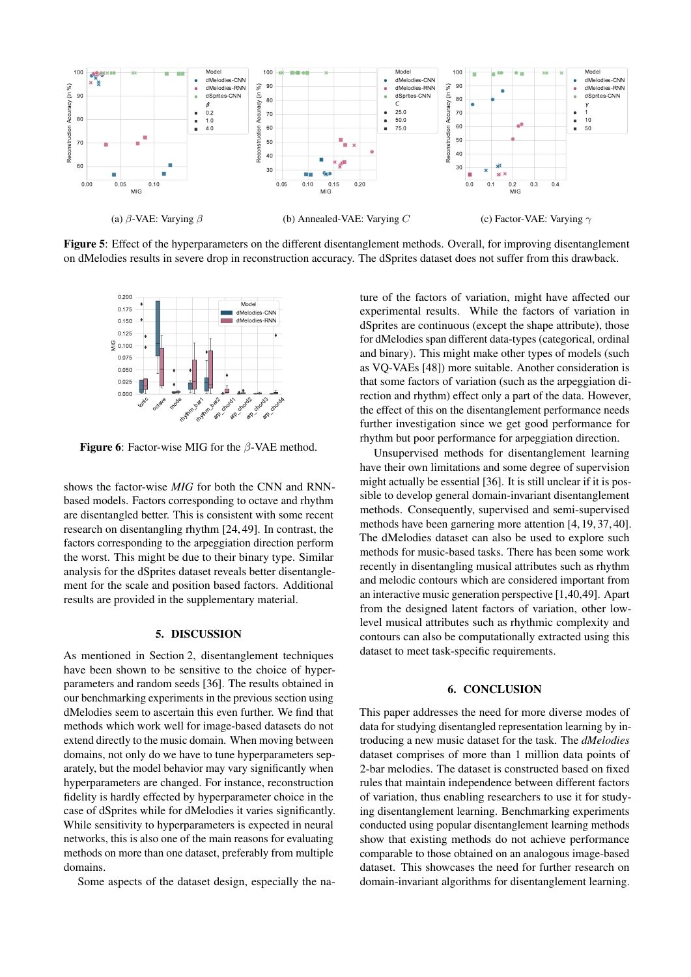

Figure 5: Effect of the hyperparameters on the different disentanglement methods. Overall, for improving disentanglement on dMelodies results in severe drop in reconstruction accuracy. The dSprites dataset does not suffer from this drawback.



**Figure 6:** Factor-wise MIG for the  $\beta$ -VAE method.

shows the factor-wise *MIG* for both the CNN and RNNbased models. Factors corresponding to octave and rhythm are disentangled better. This is consistent with some recent research on disentangling rhythm [24, 49]. In contrast, the factors corresponding to the arpeggiation direction perform the worst. This might be due to their binary type. Similar analysis for the dSprites dataset reveals better disentanglement for the scale and position based factors. Additional results are provided in the supplementary material.

# 5. DISCUSSION

As mentioned in Section 2, disentanglement techniques have been shown to be sensitive to the choice of hyperparameters and random seeds [36]. The results obtained in our benchmarking experiments in the previous section using dMelodies seem to ascertain this even further. We find that methods which work well for image-based datasets do not extend directly to the music domain. When moving between domains, not only do we have to tune hyperparameters separately, but the model behavior may vary significantly when hyperparameters are changed. For instance, reconstruction fidelity is hardly effected by hyperparameter choice in the case of dSprites while for dMelodies it varies significantly. While sensitivity to hyperparameters is expected in neural networks, this is also one of the main reasons for evaluating methods on more than one dataset, preferably from multiple domains.

Some aspects of the dataset design, especially the na-

ture of the factors of variation, might have affected our experimental results. While the factors of variation in dSprites are continuous (except the shape attribute), those for dMelodies span different data-types (categorical, ordinal and binary). This might make other types of models (such as VQ-VAEs [48]) more suitable. Another consideration is that some factors of variation (such as the arpeggiation direction and rhythm) effect only a part of the data. However, the effect of this on the disentanglement performance needs further investigation since we get good performance for rhythm but poor performance for arpeggiation direction.

Unsupervised methods for disentanglement learning have their own limitations and some degree of supervision might actually be essential [36]. It is still unclear if it is possible to develop general domain-invariant disentanglement methods. Consequently, supervised and semi-supervised methods have been garnering more attention [4, 19, 37, 40]. The dMelodies dataset can also be used to explore such methods for music-based tasks. There has been some work recently in disentangling musical attributes such as rhythm and melodic contours which are considered important from an interactive music generation perspective [1,40,49]. Apart from the designed latent factors of variation, other lowlevel musical attributes such as rhythmic complexity and contours can also be computationally extracted using this dataset to meet task-specific requirements.

#### 6. CONCLUSION

This paper addresses the need for more diverse modes of data for studying disentangled representation learning by introducing a new music dataset for the task. The *dMelodies* dataset comprises of more than 1 million data points of 2-bar melodies. The dataset is constructed based on fixed rules that maintain independence between different factors of variation, thus enabling researchers to use it for studying disentanglement learning. Benchmarking experiments conducted using popular disentanglement learning methods show that existing methods do not achieve performance comparable to those obtained on an analogous image-based dataset. This showcases the need for further research on domain-invariant algorithms for disentanglement learning.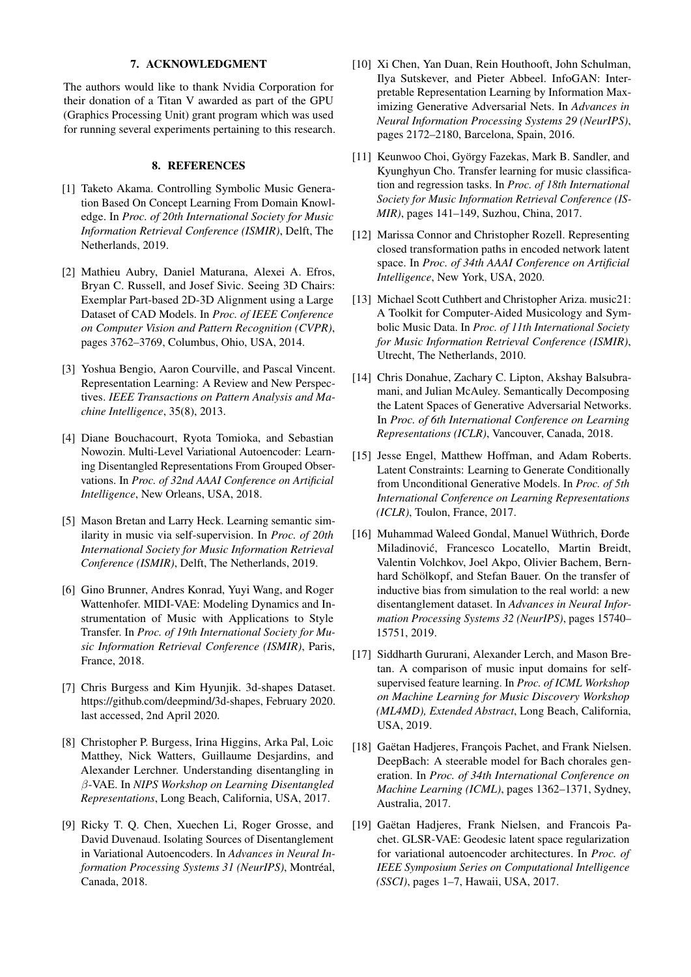# 7. ACKNOWLEDGMENT

The authors would like to thank Nvidia Corporation for their donation of a Titan V awarded as part of the GPU (Graphics Processing Unit) grant program which was used for running several experiments pertaining to this research.

# 8. REFERENCES

- [1] Taketo Akama. Controlling Symbolic Music Generation Based On Concept Learning From Domain Knowledge. In *Proc. of 20th International Society for Music Information Retrieval Conference (ISMIR)*, Delft, The Netherlands, 2019.
- [2] Mathieu Aubry, Daniel Maturana, Alexei A. Efros, Bryan C. Russell, and Josef Sivic. Seeing 3D Chairs: Exemplar Part-based 2D-3D Alignment using a Large Dataset of CAD Models. In *Proc. of IEEE Conference on Computer Vision and Pattern Recognition (CVPR)*, pages 3762–3769, Columbus, Ohio, USA, 2014.
- [3] Yoshua Bengio, Aaron Courville, and Pascal Vincent. Representation Learning: A Review and New Perspectives. *IEEE Transactions on Pattern Analysis and Machine Intelligence*, 35(8), 2013.
- [4] Diane Bouchacourt, Ryota Tomioka, and Sebastian Nowozin. Multi-Level Variational Autoencoder: Learning Disentangled Representations From Grouped Observations. In *Proc. of 32nd AAAI Conference on Artificial Intelligence*, New Orleans, USA, 2018.
- [5] Mason Bretan and Larry Heck. Learning semantic similarity in music via self-supervision. In *Proc. of 20th International Society for Music Information Retrieval Conference (ISMIR)*, Delft, The Netherlands, 2019.
- [6] Gino Brunner, Andres Konrad, Yuyi Wang, and Roger Wattenhofer. MIDI-VAE: Modeling Dynamics and Instrumentation of Music with Applications to Style Transfer. In *Proc. of 19th International Society for Music Information Retrieval Conference (ISMIR)*, Paris, France, 2018.
- [7] Chris Burgess and Kim Hyunjik. 3d-shapes Dataset. https://github.com/deepmind/3d-shapes, February 2020. last accessed, 2nd April 2020.
- [8] Christopher P. Burgess, Irina Higgins, Arka Pal, Loic Matthey, Nick Watters, Guillaume Desjardins, and Alexander Lerchner. Understanding disentangling in β-VAE. In *NIPS Workshop on Learning Disentangled Representations*, Long Beach, California, USA, 2017.
- [9] Ricky T. Q. Chen, Xuechen Li, Roger Grosse, and David Duvenaud. Isolating Sources of Disentanglement in Variational Autoencoders. In *Advances in Neural Information Processing Systems 31 (NeurIPS)*, Montréal, Canada, 2018.
- [10] Xi Chen, Yan Duan, Rein Houthooft, John Schulman, Ilya Sutskever, and Pieter Abbeel. InfoGAN: Interpretable Representation Learning by Information Maximizing Generative Adversarial Nets. In *Advances in Neural Information Processing Systems 29 (NeurIPS)*, pages 2172–2180, Barcelona, Spain, 2016.
- [11] Keunwoo Choi, György Fazekas, Mark B. Sandler, and Kyunghyun Cho. Transfer learning for music classification and regression tasks. In *Proc. of 18th International Society for Music Information Retrieval Conference (IS-MIR)*, pages 141–149, Suzhou, China, 2017.
- [12] Marissa Connor and Christopher Rozell. Representing closed transformation paths in encoded network latent space. In *Proc. of 34th AAAI Conference on Artificial Intelligence*, New York, USA, 2020.
- [13] Michael Scott Cuthbert and Christopher Ariza. music21: A Toolkit for Computer-Aided Musicology and Symbolic Music Data. In *Proc. of 11th International Society for Music Information Retrieval Conference (ISMIR)*, Utrecht, The Netherlands, 2010.
- [14] Chris Donahue, Zachary C. Lipton, Akshay Balsubramani, and Julian McAuley. Semantically Decomposing the Latent Spaces of Generative Adversarial Networks. In *Proc. of 6th International Conference on Learning Representations (ICLR)*, Vancouver, Canada, 2018.
- [15] Jesse Engel, Matthew Hoffman, and Adam Roberts. Latent Constraints: Learning to Generate Conditionally from Unconditional Generative Models. In *Proc. of 5th International Conference on Learning Representations (ICLR)*, Toulon, France, 2017.
- [16] Muhammad Waleed Gondal, Manuel Wüthrich, Đorđe Miladinovic, Francesco Locatello, Martin Breidt, ´ Valentin Volchkov, Joel Akpo, Olivier Bachem, Bernhard Schölkopf, and Stefan Bauer. On the transfer of inductive bias from simulation to the real world: a new disentanglement dataset. In *Advances in Neural Information Processing Systems 32 (NeurIPS)*, pages 15740– 15751, 2019.
- [17] Siddharth Gururani, Alexander Lerch, and Mason Bretan. A comparison of music input domains for selfsupervised feature learning. In *Proc. of ICML Workshop on Machine Learning for Music Discovery Workshop (ML4MD), Extended Abstract*, Long Beach, California, USA, 2019.
- [18] Gaëtan Hadjeres, François Pachet, and Frank Nielsen. DeepBach: A steerable model for Bach chorales generation. In *Proc. of 34th International Conference on Machine Learning (ICML)*, pages 1362–1371, Sydney, Australia, 2017.
- [19] Gaëtan Hadjeres, Frank Nielsen, and Francois Pachet. GLSR-VAE: Geodesic latent space regularization for variational autoencoder architectures. In *Proc. of IEEE Symposium Series on Computational Intelligence (SSCI)*, pages 1–7, Hawaii, USA, 2017.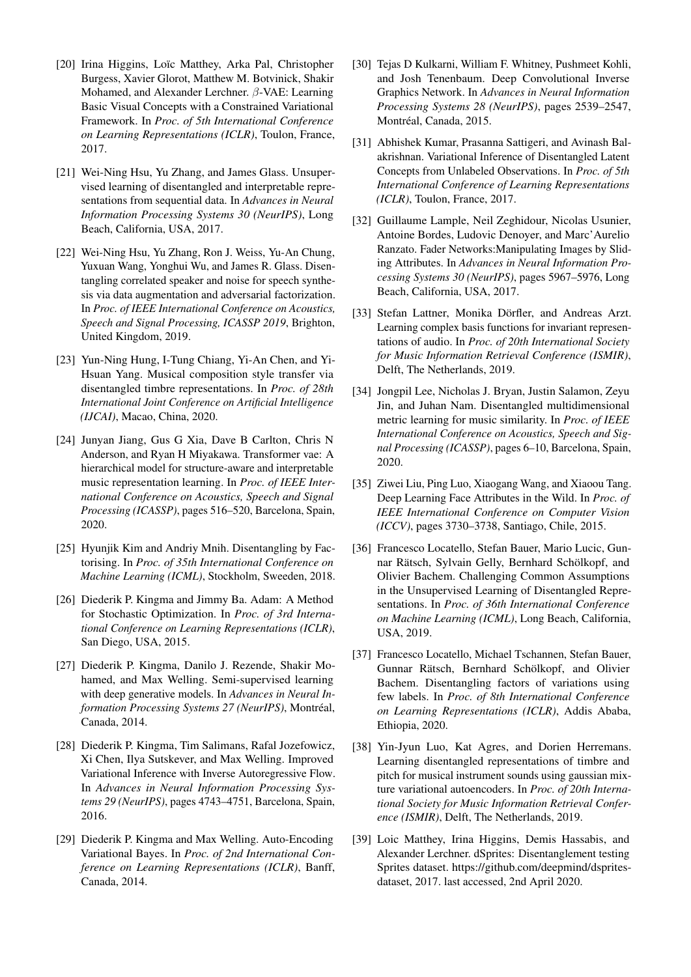- [20] Irina Higgins, Loïc Matthey, Arka Pal, Christopher Burgess, Xavier Glorot, Matthew M. Botvinick, Shakir Mohamed, and Alexander Lerchner. β-VAE: Learning Basic Visual Concepts with a Constrained Variational Framework. In *Proc. of 5th International Conference on Learning Representations (ICLR)*, Toulon, France, 2017.
- [21] Wei-Ning Hsu, Yu Zhang, and James Glass. Unsupervised learning of disentangled and interpretable representations from sequential data. In *Advances in Neural Information Processing Systems 30 (NeurIPS)*, Long Beach, California, USA, 2017.
- [22] Wei-Ning Hsu, Yu Zhang, Ron J. Weiss, Yu-An Chung, Yuxuan Wang, Yonghui Wu, and James R. Glass. Disentangling correlated speaker and noise for speech synthesis via data augmentation and adversarial factorization. In *Proc. of IEEE International Conference on Acoustics, Speech and Signal Processing, ICASSP 2019*, Brighton, United Kingdom, 2019.
- [23] Yun-Ning Hung, I-Tung Chiang, Yi-An Chen, and Yi-Hsuan Yang. Musical composition style transfer via disentangled timbre representations. In *Proc. of 28th International Joint Conference on Artificial Intelligence (IJCAI)*, Macao, China, 2020.
- [24] Junyan Jiang, Gus G Xia, Dave B Carlton, Chris N Anderson, and Ryan H Miyakawa. Transformer vae: A hierarchical model for structure-aware and interpretable music representation learning. In *Proc. of IEEE International Conference on Acoustics, Speech and Signal Processing (ICASSP)*, pages 516–520, Barcelona, Spain, 2020.
- [25] Hyunjik Kim and Andriy Mnih. Disentangling by Factorising. In *Proc. of 35th International Conference on Machine Learning (ICML)*, Stockholm, Sweeden, 2018.
- [26] Diederik P. Kingma and Jimmy Ba. Adam: A Method for Stochastic Optimization. In *Proc. of 3rd International Conference on Learning Representations (ICLR)*, San Diego, USA, 2015.
- [27] Diederik P. Kingma, Danilo J. Rezende, Shakir Mohamed, and Max Welling. Semi-supervised learning with deep generative models. In *Advances in Neural Information Processing Systems 27 (NeurIPS)*, Montréal, Canada, 2014.
- [28] Diederik P. Kingma, Tim Salimans, Rafal Jozefowicz, Xi Chen, Ilya Sutskever, and Max Welling. Improved Variational Inference with Inverse Autoregressive Flow. In *Advances in Neural Information Processing Systems 29 (NeurIPS)*, pages 4743–4751, Barcelona, Spain, 2016.
- [29] Diederik P. Kingma and Max Welling. Auto-Encoding Variational Bayes. In *Proc. of 2nd International Conference on Learning Representations (ICLR)*, Banff, Canada, 2014.
- [30] Tejas D Kulkarni, William F. Whitney, Pushmeet Kohli, and Josh Tenenbaum. Deep Convolutional Inverse Graphics Network. In *Advances in Neural Information Processing Systems 28 (NeurIPS)*, pages 2539–2547, Montréal, Canada, 2015.
- [31] Abhishek Kumar, Prasanna Sattigeri, and Avinash Balakrishnan. Variational Inference of Disentangled Latent Concepts from Unlabeled Observations. In *Proc. of 5th International Conference of Learning Representations (ICLR)*, Toulon, France, 2017.
- [32] Guillaume Lample, Neil Zeghidour, Nicolas Usunier, Antoine Bordes, Ludovic Denoyer, and Marc'Aurelio Ranzato. Fader Networks:Manipulating Images by Sliding Attributes. In *Advances in Neural Information Processing Systems 30 (NeurIPS)*, pages 5967–5976, Long Beach, California, USA, 2017.
- [33] Stefan Lattner, Monika Dörfler, and Andreas Arzt. Learning complex basis functions for invariant representations of audio. In *Proc. of 20th International Society for Music Information Retrieval Conference (ISMIR)*, Delft, The Netherlands, 2019.
- [34] Jongpil Lee, Nicholas J. Bryan, Justin Salamon, Zeyu Jin, and Juhan Nam. Disentangled multidimensional metric learning for music similarity. In *Proc. of IEEE International Conference on Acoustics, Speech and Signal Processing (ICASSP)*, pages 6–10, Barcelona, Spain, 2020.
- [35] Ziwei Liu, Ping Luo, Xiaogang Wang, and Xiaoou Tang. Deep Learning Face Attributes in the Wild. In *Proc. of IEEE International Conference on Computer Vision (ICCV)*, pages 3730–3738, Santiago, Chile, 2015.
- [36] Francesco Locatello, Stefan Bauer, Mario Lucic, Gunnar Rätsch, Sylvain Gelly, Bernhard Schölkopf, and Olivier Bachem. Challenging Common Assumptions in the Unsupervised Learning of Disentangled Representations. In *Proc. of 36th International Conference on Machine Learning (ICML)*, Long Beach, California, USA, 2019.
- [37] Francesco Locatello, Michael Tschannen, Stefan Bauer, Gunnar Rätsch, Bernhard Schölkopf, and Olivier Bachem. Disentangling factors of variations using few labels. In *Proc. of 8th International Conference on Learning Representations (ICLR)*, Addis Ababa, Ethiopia, 2020.
- [38] Yin-Jyun Luo, Kat Agres, and Dorien Herremans. Learning disentangled representations of timbre and pitch for musical instrument sounds using gaussian mixture variational autoencoders. In *Proc. of 20th International Society for Music Information Retrieval Conference (ISMIR)*, Delft, The Netherlands, 2019.
- [39] Loic Matthey, Irina Higgins, Demis Hassabis, and Alexander Lerchner. dSprites: Disentanglement testing Sprites dataset. https://github.com/deepmind/dspritesdataset, 2017. last accessed, 2nd April 2020.